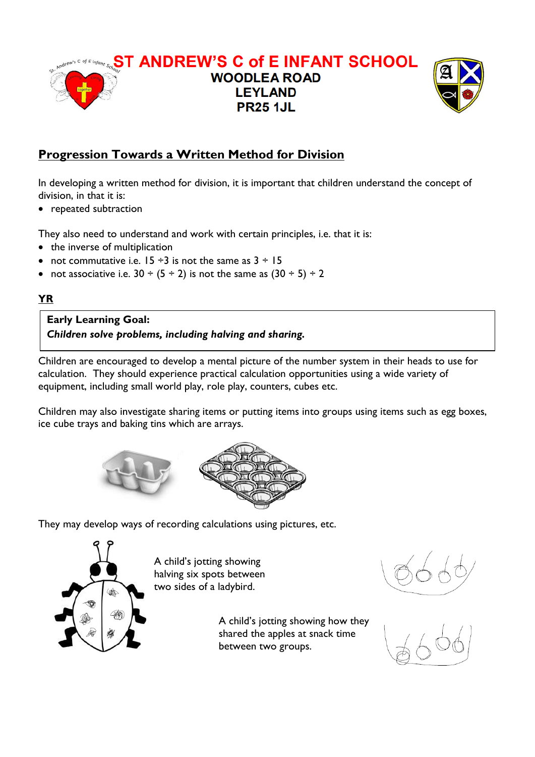

# **Progression Towards a Written Method for Division**

In developing a written method for division, it is important that children understand the concept of division, in that it is:

• repeated subtraction

They also need to understand and work with certain principles, i.e. that it is:

- the inverse of multiplication
- not commutative i.e.  $15 \div 3$  is not the same as  $3 \div 15$
- not associative i.e.  $30 \div (5 \div 2)$  is not the same as  $(30 \div 5) \div 2$

#### **YR**

**Early Learning Goal:** *Children solve problems, including halving and sharing.*

Children are encouraged to develop a mental picture of the number system in their heads to use for calculation. They should experience practical calculation opportunities using a wide variety of equipment, including small world play, role play, counters, cubes etc.

Children may also investigate sharing items or putting items into groups using items such as egg boxes, ice cube trays and baking tins which are arrays.



They may develop ways of recording calculations using pictures, etc.



A child's jotting showing halving six spots between two sides of a ladybird.

> A child's jotting showing how they shared the apples at snack time between two groups.

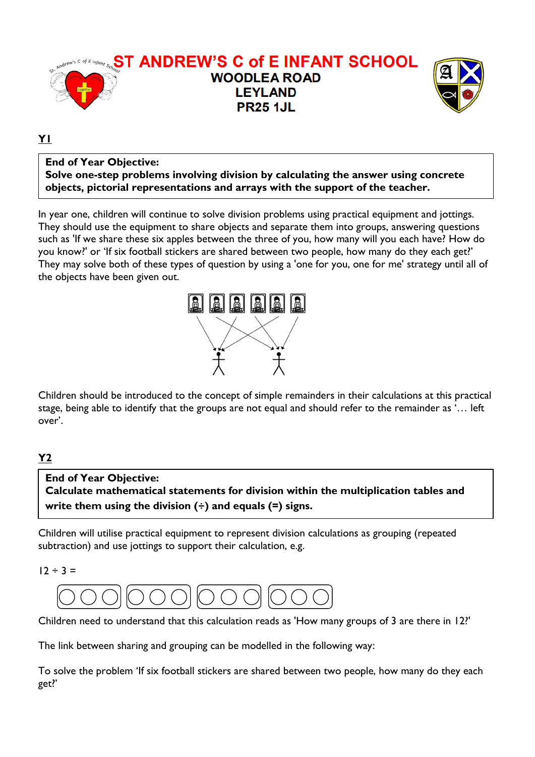

#### **Y1**

#### **End of Year Objective: Solve one-step problems involving division by calculating the answer using concrete objects, pictorial representations and arrays with the support of the teacher.**

In year one, children will continue to solve division problems using practical equipment and jottings. They should use the equipment to share objects and separate them into groups, answering questions such as 'If we share these six apples between the three of you, how many will you each have? How do you know?' or 'If six football stickers are shared between two people, how many do they each get?' They may solve both of these types of question by using a 'one for you, one for me' strategy until all of the objects have been given out.



Children should be introduced to the concept of simple remainders in their calculations at this practical stage, being able to identify that the groups are not equal and should refer to the remainder as '… left over'.

### **Y2**

## **End of Year Objective: Calculate mathematical statements for division within the multiplication tables and write them using the division (÷) and equals (=) signs.**

Children will utilise practical equipment to represent division calculations as grouping (repeated subtraction) and use jottings to support their calculation, e.g.

 $12 \div 3 =$ 



Children need to understand that this calculation reads as 'How many groups of 3 are there in 12?'

The link between sharing and grouping can be modelled in the following way:

To solve the problem 'If six football stickers are shared between two people, how many do they each get?'